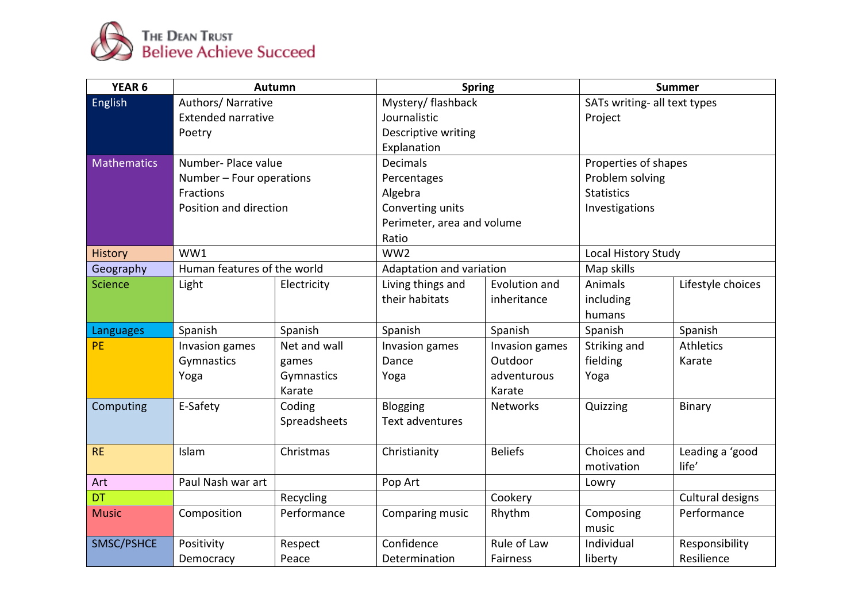

| YEAR <sub>6</sub>  | Autumn                      |              | <b>Spring</b>              |                 | <b>Summer</b>                |                   |
|--------------------|-----------------------------|--------------|----------------------------|-----------------|------------------------------|-------------------|
| <b>English</b>     | Authors/ Narrative          |              | Mystery/ flashback         |                 | SATs writing- all text types |                   |
|                    | <b>Extended narrative</b>   |              | Journalistic               |                 | Project                      |                   |
|                    | Poetry                      |              | Descriptive writing        |                 |                              |                   |
|                    |                             |              | Explanation                |                 |                              |                   |
| <b>Mathematics</b> | Number- Place value         |              | <b>Decimals</b>            |                 | Properties of shapes         |                   |
|                    | Number - Four operations    |              | Percentages                |                 | Problem solving              |                   |
|                    | Fractions                   |              | Algebra                    |                 | <b>Statistics</b>            |                   |
|                    | Position and direction      |              | Converting units           |                 | Investigations               |                   |
|                    |                             |              | Perimeter, area and volume |                 |                              |                   |
|                    |                             | Ratio        |                            |                 |                              |                   |
| <b>History</b>     | WW1                         |              | WW <sub>2</sub>            |                 | Local History Study          |                   |
| Geography          | Human features of the world |              | Adaptation and variation   |                 | Map skills                   |                   |
| <b>Science</b>     | Light                       | Electricity  | Living things and          | Evolution and   | Animals                      | Lifestyle choices |
|                    |                             |              | their habitats             | inheritance     | including                    |                   |
|                    |                             |              |                            |                 | humans                       |                   |
| Languages          | Spanish                     | Spanish      | Spanish                    | Spanish         | Spanish                      | Spanish           |
| PE                 | Invasion games              | Net and wall | Invasion games             | Invasion games  | Striking and                 | Athletics         |
|                    | Gymnastics                  | games        | Dance                      | Outdoor         | fielding                     | Karate            |
|                    | Yoga                        | Gymnastics   | Yoga                       | adventurous     | Yoga                         |                   |
|                    |                             | Karate       |                            | Karate          |                              |                   |
| Computing          | E-Safety                    | Coding       | <b>Blogging</b>            | <b>Networks</b> | Quizzing                     | Binary            |
|                    |                             | Spreadsheets | Text adventures            |                 |                              |                   |
|                    |                             |              |                            |                 |                              |                   |
| <b>RE</b>          | Islam                       | Christmas    | Christianity               | <b>Beliefs</b>  | Choices and                  | Leading a 'good   |
|                    |                             |              |                            |                 | motivation                   | life'             |
| Art                | Paul Nash war art           |              | Pop Art                    |                 | Lowry                        |                   |
| <b>DT</b>          |                             | Recycling    |                            | Cookery         |                              | Cultural designs  |
| <b>Music</b>       | Composition                 | Performance  | Comparing music            | Rhythm          | Composing                    | Performance       |
|                    |                             |              |                            |                 | music                        |                   |
| SMSC/PSHCE         | Positivity                  | Respect      | Confidence                 | Rule of Law     | Individual                   | Responsibility    |
|                    | Democracy                   | Peace        | Determination              | Fairness        | liberty                      | Resilience        |